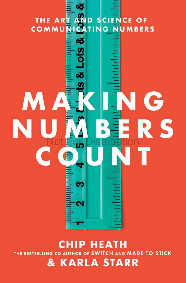# THE ARE AND SCIENCE OF COMMUNICATING NUMBERS

ൽ

 $- *ots*  $\alpha$$ 

 $\frac{2}{3}$ 

ო

C

 $\mathbf M$  .

N

СНІР НЕАТН THE BESTSELLING CO-AUTHOR OF SWITCH AND MADE TO STICK & KARLA STARR

Not **Eqs** Distribution

G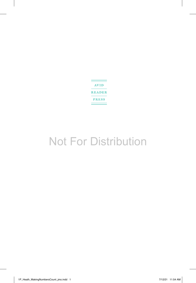## Not For Distribution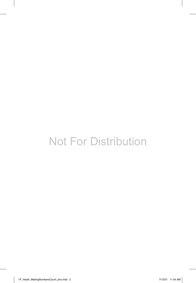# Not For Distribution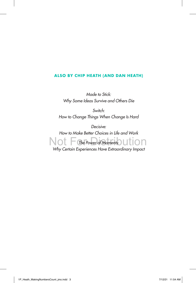### **ALSO BY CHIP HEATH (AND DAN HEATH)**

*Made to Stick: Why Some Ideas Survive and Others Die*

*Switch: How to Change Things When Change Is Hard*

*Decisive: How to Make Better Choices in Life and Work* Not F<sub>The Power of Moments: Ution</sub> *Why Certain Experiences Have Extraordinary Impact*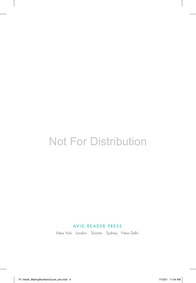# Not For Distribution

### AVID READER PRESS

New York London Toronto Sydney New Delhi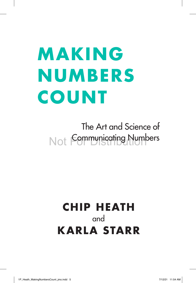# **MAK ING NUMBERS COUNT**

# The Art and Science of Not Formunicating Numbers

### **CH IP HEATH**  and **KARLA STARR**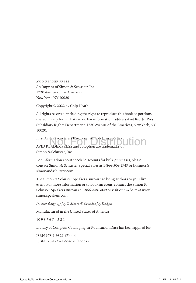av id r eader pr ess An Imprint of Simon & Schuster, Inc. 1230 Avenue of the Americas New York, NY 10020

Copyright © 2022 by Chip Heath

All rights reserved, including the right to reproduce this book or portions thereof in any form whatsoever. For information, address Avid Reader Press Subsidiary Rights Department, 1230 Avenue of the Americas, New York, NY 10020.

First Avid Reader Press hardcover edition January 2022 First Avid Reader Press hardcover edition January 2022<br>AVID READER PRESS and colophon are trademarks of Simon & Schuster, Inc.

For information about special discounts for bulk purchases, please contact Simon & Schuster Special Sales at 1-866-506-1949 or business@ simonandschuster.com.

The Simon & Schuster Speakers Bureau can bring authors to your live event. For more information or to book an event, contact the Simon & Schuster Speakers Bureau at 1-866-248-3049 or visit our website at www. simonspeakers.com.

*Interior design by Joy O'Meara @ Creative Joy Designs*

Manufactured in the United States of America

10 9 8 7 6 5 4 3 2 1

Library of Congress Cataloging-in-Publication Data has been applied for.

ISBN 978-1-9821-6544-4 ISBN 978-1-9821-6545-1 (ebook)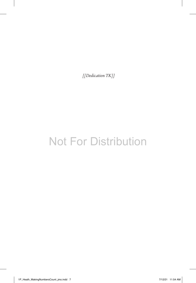*[[Dedication TK]]*

## Not For Distribution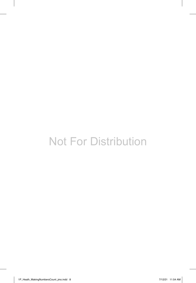# Not For Distribution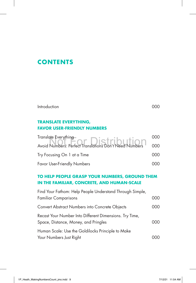### **CONTENTS**

Introduction 000

### **TRANSLATE EVERYTHING, FAVOR USER-FRIENDLY NUMBERS**

| Translate Everything<br>Avoid Numbers: Perfect Translations Don't Need Numbers<br>000 |                  |
|---------------------------------------------------------------------------------------|------------------|
|                                                                                       |                  |
| Try Focusing On 1 at a Time                                                           | 000 <sub>1</sub> |
| <b>Favor User-Friendly Numbers</b>                                                    | റററ              |

### **TO HELP PEOPLE GRASP YOUR NUMBERS, GROUND THEM IN THE FAMILIAR, CONCRETE, AND HUMAN-SCALE**

| Find Your Fathom: Help People Understand Through Simple,                                        |     |
|-------------------------------------------------------------------------------------------------|-----|
| <b>Familiar Comparisons</b>                                                                     | 000 |
| <b>Convert Abstract Numbers into Concrete Objects</b>                                           | 000 |
| Recast Your Number Into Different Dimensions. Try Time,<br>Space, Distance, Money, and Pringles | 000 |
| Human Scale: Use the Goldilocks Principle to Make<br>Your Numbers Just Right                    |     |
|                                                                                                 |     |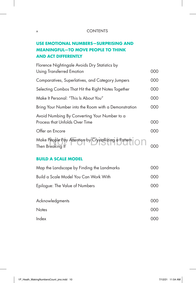### x CONTENTS

### **USE EMOTIONAL NUMBERS—SURPRISING AND MEANINGFUL—TO MOVE PEOPLE TO THINK AND ACT DIFFERENTLY**

| Florence Nightingale Avoids Dry Statistics by                               |     |
|-----------------------------------------------------------------------------|-----|
| <b>Using Transferred Emotion</b>                                            | 000 |
| Comparatives, Superlatives, and Category Jumpers                            | 000 |
| Selecting Combos That Hit the Right Notes Together                          | 000 |
| Make It Personal: "This Is About You"                                       | 000 |
| Bring Your Number into the Room with a Demonstration                        | 000 |
| Avoid Numbing By Converting Your Number to a                                |     |
| Process that Unfolds Over Time                                              | 000 |
| Offer an Encore                                                             | 000 |
| Make People Pay Attention by Crystallizing a Pattern 00<br>Then Breaking It | 000 |
| <b>BUILD A SCALE MODEL</b>                                                  |     |
| Map the Landscape by Finding the Landmarks                                  | 000 |
| Build a Scale Model You Can Work With                                       | 000 |
| Epilogue: The Value of Numbers                                              | 000 |
|                                                                             |     |

| Acknowledgments | 000 |
|-----------------|-----|
| <b>Notes</b>    | 000 |
| Index           | 000 |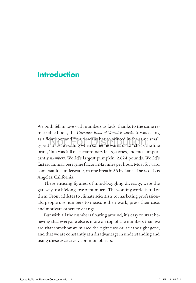### **Introduction**

We both fell in love with numbers as kids, thanks to the same remarkable book, the *Guinness Book of World Records*. It was as big as a flowerpot and four times as heavy, printed in the same small as a flowerpot and four times as heavy, printed in the same small<br>type that we're reading when someone warns us to "check the fine print," but was full of extraordinary facts, stories, and most importantly *numbers*. World's largest pumpkin: 2,624 pounds. World's fastest animal: peregrine falcon, 242 miles per hour. Most forward somersaults, underwater, in one breath: 36 by Lance Davis of Los Angeles, California.

These enticing figures, of mind-boggling diversity, were the gateway to a lifelong love of numbers. The working world is full of them. From athletes to climate scientists to marketing professionals, people use numbers to measure their work, press their case, and motivate others to change.

But with all the numbers floating around, it's easy to start believing that everyone else is more on top of the numbers than we are, that somehow we missed the right class or lack the right gene, and that we are constantly at a disadvantage in understanding and using these excessively common objects.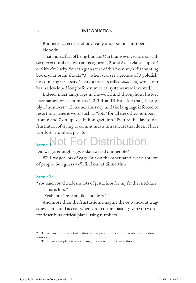#### xii INTRODUCTION

But here's a secret: nobody really understands numbers. Nobody.

That's just a fact of being human. Our brains evolved to deal with *very small* numbers. We can recognize 1, 2, and 3 at a glance, up to 4 or 5 if we're lucky. You can get a sense of this from any kid's counting book; your brain shouts "3!" when you see a picture of 3 goldfish, no counting necessary. That's a process called *subitizing*, which our brains developed long before numerical systems were invented.\*

Indeed, most languages in the world and throughout history have names for the numbers 1, 2, 3, 4, and 5. But after that, the supply of numbers with names runs dry, and the language is forced to resort to a generic word such as "lots" for all the other numbers from 6 and 7 on up to a billion gazillion.† Picture the day-to-day frustration of trying to communicate in a culture that doesn't have words for numbers past 5:

### Scene 1: **Not For Distribution**

Did we get enough eggs today to feed our people?

Well, we got lots of eggs. But on the other hand, we've got lots of people. So I guess we'll find out at dinnertime.

### Scene 2:

"You said you'd trade me lots of pistachios for my feather necklace" "This is lots."

"Yeah, but I meant, like, lots-lots."

And more than the frustration, imagine the out-and-out tragedies that could accrue when your culture hasn't given you words for describing critical plans using numbers.

There's an extensive set of endnotes that provide links to the academic literature in more detail.

<sup>†</sup> This is another place where you might want to look for an endnote.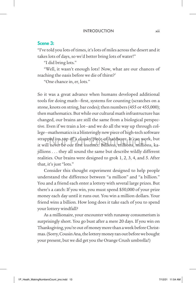#### INTRODUCTION xiii

### Scene 3:

"I've told you lots of times, it's lots of miles across the desert and it takes lots of days, so we'd better bring lots of water!"

"I did bring lots."

"Well, it wasn't enough lots! Now, what are our chances of reaching the oasis before we die of thirst?'

"One chance in, er, lots."

So it was a great advance when humans developed additional tools for doing math—first, systems for counting (scratches on a stone, knots on string, bar codes); then numbers (455 or 455,000); then mathematics. But while our cultural math infrastructure has changed, our brains are still the same from a biological perspective. Even if we train a lot—and we do all the way up through college—mathematics is a blisteringly new piece of high-tech software strapped on top of a clunky piece of hardware. It can work, but strapped on top of a clunky piece of hardware. It can work, but<br>it will never be our first instinct. Billions, trillions, millions, kajillions . . . they all sound the same but describe wildly different realities. Our brains were designed to grok 1, 2, 3, 4, and 5. After that, it's just "lots."

Consider this thought experiment designed to help people understand the difference between "a million" and "a billion." You and a friend each enter a lottery with several large prizes. But there's a catch: If you win, you must spend \$50,000 of your prize money each day until it runs out. You win a million dollars. Your friend wins a billion. How long does it take each of you to spend your lottery windfall?

As a millionaire, your encounter with runaway consumerism is surprisingly short. You go bust after a mere 20 days. If you win on Thanksgiving, you're out of money more than a week before Christmas. (Sorry, Cousin Ana, the lottery money ran out before we bought your present, but we did get you the Orange Crush umbrella!)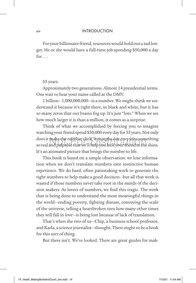### xiv INTRODUCTION

For your billionaire friend, resources would hold out a tad longer. He or she would have a full-time job spending \$50,000 a day for  $\dots$ 

### 55 years.

Approximately two generations. Almost 14 presidential terms. One wait to hear your name called at the DMV.

1 billion—1,000,000,000—is a number. We might think we understand it because it's right there, in black and white, but it has so many zeros that our brains fog up. It's just "lots." When we see how much larger it is than a million, it comes as a surprise.

Think of what we accomplished by forcing you to imagine watching your friend spend \$50,000 every day for 55 years. Not only does it make the number click, it morphs our envy into something<br>so real and palpable that we'll help you kick your friend in the shins. so real and palpable that we'll help you kick your friend in the shins. It's an animated picture that brings the number to life.

This book is based on a simple observation: we lose information when we don't translate numbers into instinctive human experience. We do hard, often painstaking work to generate the right numbers to help make a good decision—but all that work is wasted if those numbers never take root in the minds of the decision makers. As lovers of numbers, we find this tragic. The work that is being done to understand the most meaningful things in the world—ending poverty, fighting disease, conveying the scale of the universe, telling a heartbroken teen how many other times they will fall in love—is being lost because of lack of translation.

That's when the two of us—Chip, a business school professor, and Karla, a science journalist—thought, There ought to be a book for this sort of thing.

But there isn't. We've looked. There are great guides for mak-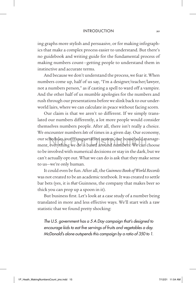### INTRODUCTION xv

ing graphs more stylish and persuasive, or for making infographics that make a complex process easier to understand. But there's no guidebook and writing guide for the fundamental process of making numbers count—getting people to understand them in instinctive and accurate terms.

And because we don't understand the process, we fear it. When numbers come up, half of us say, "I'm a designer/teacher/lawyer, not a numbers person," as if casting a spell to ward off a vampire. And the other half of us mumble apologies for the numbers and rush through our presentations before we slink back to our underworld lairs, where we can calculate in peace without facing scorn.

Our claim is that we aren't so different. If we simply translated our numbers differently, a lot more people would consider themselves numbers people. After all, there isn't really a choice. We encounter numbers *lots* of times in a given day. Our economy, our schedules, our transportation system, our household manageour schedules, our transportation system, our household manage-<br>ment, everything we do is based around numbers. We can choose to be involved with numerical decisions or stay in the dark, but we can't actually opt out. What we can do is ask that they make sense to us—we're only human.

It could even be fun. After all, the *Guinness Book of World Records* was not created to be an academic textbook. It was created to settle bar bets (yes, it is *that* Guinness, the company that makes beer so thick you can prop up a spoon in it).

But business first. Let's look at a case study of a number being translated in more and less effective ways. We'll start with a raw statistic that we found pretty shocking:

*The U.S. government has a 5 A Day campaign that's designed to encourage kids to eat five servings of fruits and vegetables a day. McDonald's alone outspends this campaign by a ratio of 350 to 1.*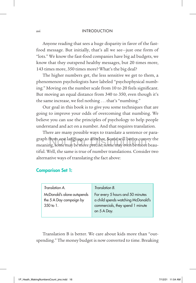### xvi INTRODUCTION

Anyone reading that sees a huge disparity in favor of the fastfood message. But initially, that's all we see—just one form of "lots." We know the fast-food companies have big ad budgets, we know that they outspend healthy messages, but 20 times more, 143 times more, 350 times more? What's the big deal?

The higher numbers get, the less sensitive we get to them, a phenomenon psychologists have labeled "psychophysical numbing." Moving on the number scale from 10 to 20 feels significant. But moving an equal distance from 340 to 350, even though it's the same increase, we feel nothing . . . that's "numbing."

Our goal in this book is to give you some techniques that are going to improve your odds of overcoming that numbing. We believe you can use the principles of psychology to help people understand and act on a number. And that requires translation.

There are many possible ways to translate a sentence or paragraph from one language to another. Some will better convey the graph from one language to another. Some will better convey the<br>meaning, some may be more precise, some may even be more beautiful. Well, the same is true of number translations. Consider two alternative ways of translating the fact above:

### Comparison Set 1:

*Translation A.*  McDonald's alone outspends the 5 A Day campaign by 350 to 1.

### *Translation B.*

For every 5 hours and 50 minutes a child spends watching McDonald's commercials, they spend 1 minute on 5 A Day.

Translation B is better. We care about kids more than "outspending." The money budget is now converted to time. Breaking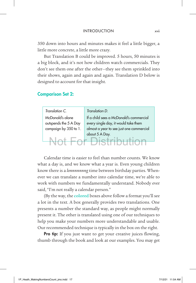### INTRODUCTION xvii

350 down into hours and minutes makes it feel a little bigger, a little more concrete, a little more crazy.

But Translation B could be improved. 5 hours, 50 minutes is a big block, and it's not how children watch commercials. They don't see them one after the other—they see them sprinkled into their shows, again and again and again. Translation D below is designed to account for that insight.

### Comparison Set 2:

| Translation D.                           |
|------------------------------------------|
| If a child sees a McDonald's commercial  |
| every single day, it would take them     |
| almost a year to see just one commercial |
| about 5 A Day.                           |
|                                          |
|                                          |
|                                          |

Calendar time is easier to feel than number counts. We know what a day is, and we know what a year is. Even young children know there is a *lonnnnnnng* time between birthday parties. Whenever we can translate a number into calendar time, we're able to work with numbers we fundamentally understand. Nobody ever said, "I'm not really a calendar person."

(By the way, the colored boxes above follow a format you'll see a lot in the text. A box generally provides two translations. One presents a number the standard way, as people might normally present it. The other is translated using one of our techniques to help you make your numbers more understandable and usable. Our recommended technique is typically in the box on the right.

**Pro tip:** If you just want to get your creative juices flowing, thumb through the book and look at our examples. You may get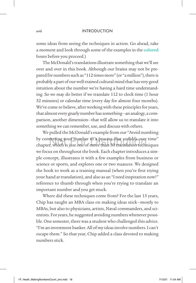### xviii INTRODUCTION

some ideas from seeing the techniques in action. Go ahead, take a moment and look through some of the examples in the colored boxes before you proceed.)

The McDonald's translations illustrate something that we'll see over and over in this book. Although our brains may not be prepared for numbers such as "112 times more" (or "a million"), there is probably a part of our well-trained cultural mind that has very good intuition about the number we're having a hard time understanding. So we may do better if we translate 112 to clock time (1 hour 52 minutes) or calendar time (every day for almost four months). We've come to believe, after working with these principles for years, that almost every gnarly number has something—an analogy, a comparison, another dimension—that will allow us to translate it into something we can remember, use, and discuss with others.

We pulled the McDonald's example from our "Avoid numbing by converting your number to a process that unfolds over time" by converting your number to a process that unfolds over time"<br>chapter, which is just one of more than 30 translation techniques we focus on throughout the book. Each chapter introduces a simple concept, illustrates it with a few examples from business or science or sports, and explores one or two nuances. We designed the book to work as a training manual (when you're first trying your hand at translation), and also as an "I need inspiration now!" reference to thumb through when you're trying to translate an important number and you get stuck.

Where did these techniques come from? For the last 15 years, Chip has taught an MBA class on making ideas stick—mostly to MBAs, but also to physicians, artists, Naval commanders, and scientists. For years, he suggested avoiding numbers whenever possible. One semester, there was a student who challenged this advice. "I'm an investment banker. All of my ideas involve numbers. I can't escape them." So that year, Chip added a class devoted to making numbers stick.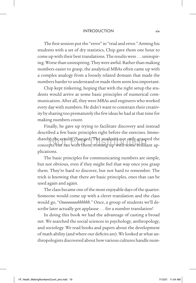### INTRODUCTION xix

The first session put the "error" in "trial and error." Arming his students with a set of dry statistics, Chip gave them one hour to come up with their best translations. The results were . . . uninspiring. Worse than uninspiring. They were awful. Rather than making numbers easier to grasp, the analytical MBAs often came up with a complex analogy from a loosely related domain that made the numbers harder to understand or made them seem less important.

Chip kept tinkering, hoping that with the right setup the students would arrive at some basic principles of numerical communication. After all, they were MBAs and engineers who worked every day with numbers. He didn't want to constrain their creativity by sharing too prematurely the few ideas he had at that time for making numbers count.

Finally, he gave up trying to facilitate discovery and instead described a few basic principles right before the exercises. Immediately, the results changed. The students not only grasped the diately, the results changed. The students not only grasped the<br>concepts but ran with them, coming up with some brilliant applications.

The basic principles for communicating numbers are simple, but not obvious, even if they might feel that way once you grasp them. They're hard to discover, but not hard to remember. The trick is knowing that there *are* basic principles, ones that can be used again and again.

The class became one of the most enjoyable days of the quarter. Someone would come up with a clever translation and the class would go, "*Ooooooooohhhhhh*." Once, a group of students we'll describe later actually got applause . . . for a number translation!

In doing this book we had the advantage of casting a broad net. We searched the social sciences in psychology, anthropology, and sociology. We read books and papers about the development of math ability (and where our deficits are). We looked at what anthropologists discovered about how various cultures handle num-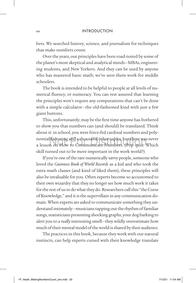### xx INTRODUCTION

bers. We searched history, science, and journalism for techniques that make numbers count.

Over the years, our principles have been road-tested by some of the planet's most skeptical and analytical minds—MBAs, engineering students, and New Yorkers. And they can be used by anyone who has mastered basic math; we've seen them work for middle schoolers.

The book is intended to be helpful to people at all levels of numerical fluency, or numeracy. You can rest assured that learning the principles won't require any computations that can't be done with a simple calculator—the old-fashioned kind with just a few giant buttons.

This, unfortunately, may be the first time anyone has bothered to show you that numbers can (and should) be translated. Think about it: in school, you were force-fed cardinal numbers and polynomial factoring and a thousand other topics, but there was never nomial factoring and a thousand other topics, but there was never<br>a lesson on How to Communicate Numbers. (Pop quiz: Which skill turned out to be more important in the work world?)

If you're one of the rare numerically savvy people, someone who loved the *Guinness Book of World Records* as a kid and who took the extra math classes (and kind of liked them), these principles will also be invaluable for you. Often experts become so accustomed to their own wizardry that they no longer see how much work it takes for the rest of us to do what they do. Researchers call this "the Curse of Knowledge," and it is the supervillain in any communication domain. When experts are asked to communicate something they understand intimately—musicians tapping out the rhythm of familiar songs, statisticians presenting shocking graphs, your dog barking to alert you to a *really* interesting smell—they wildly overestimate how much of their mental model of the world is shared by their audience.

The practices in this book, because they work with our natural instincts, can help experts cursed with their knowledge translate